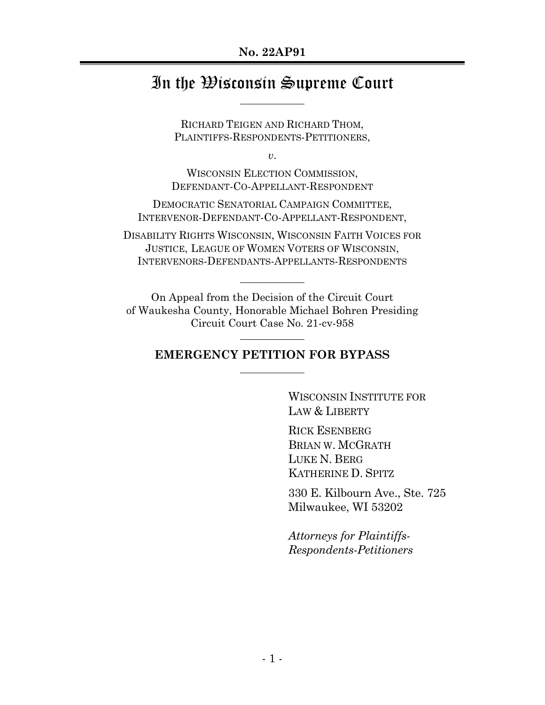#### **No. 22AP91**

# In the Wisconsin Supreme Court

RICHARD TEIGEN AND RICHARD THOM, PLAINTIFFS-RESPONDENTS-PETITIONERS,

*v*.

WISCONSIN ELECTION COMMISSION, DEFENDANT-CO-APPELLANT-RESPONDENT

DEMOCRATIC SENATORIAL CAMPAIGN COMMITTEE, INTERVENOR-DEFENDANT-CO-APPELLANT-RESPONDENT,

DISABILITY RIGHTS WISCONSIN, WISCONSIN FAITH VOICES FOR JUSTICE, LEAGUE OF WOMEN VOTERS OF WISCONSIN, INTERVENORS-DEFENDANTS-APPELLANTS-RESPONDENTS

On Appeal from the Decision of the Circuit Court of Waukesha County, Honorable Michael Bohren Presiding Circuit Court Case No. 21-cv-958

### **EMERGENCY PETITION FOR BYPASS**

WISCONSIN INSTITUTE FOR LAW & LIBERTY

RICK ESENBERG BRIAN W. MCGRATH LUKE N. BERG KATHERINE D. SPITZ

330 E. Kilbourn Ave., Ste. 725 Milwaukee, WI 53202

*Attorneys for Plaintiffs-Respondents-Petitioners*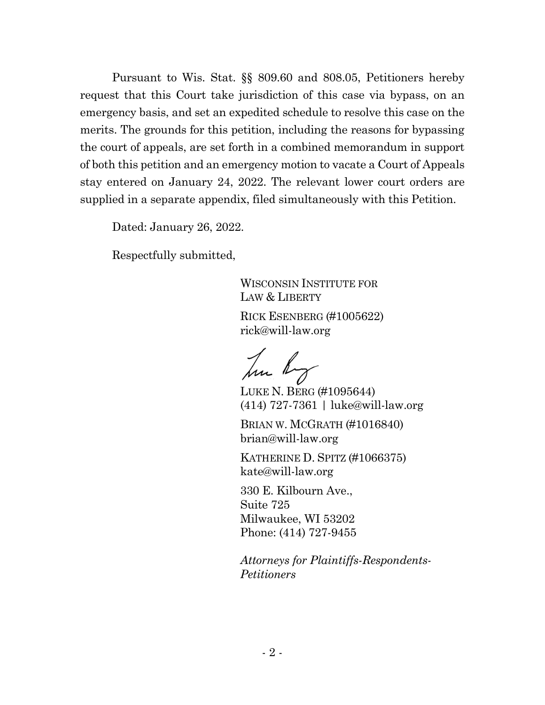Pursuant to Wis. Stat. §§ 809.60 and 808.05, Petitioners hereby request that this Court take jurisdiction of this case via bypass, on an emergency basis, and set an expedited schedule to resolve this case on the merits. The grounds for this petition, including the reasons for bypassing the court of appeals, are set forth in a combined memorandum in support of both this petition and an emergency motion to vacate a Court of Appeals stay entered on January 24, 2022. The relevant lower court orders are supplied in a separate appendix, filed simultaneously with this Petition.

Dated: January 26, 2022.

Respectfully submitted,

WISCONSIN INSTITUTE FOR LAW & LIBERTY

RICK ESENBERG (#1005622) rick@will-law.org

hu hy

LUKE N. BERG (#1095644) (414) 727-7361 | luke@will-law.org

BRIAN W. MCGRATH (#1016840) brian@will-law.org

KATHERINE D. SPITZ (#1066375) kate@will-law.org

330 E. Kilbourn Ave., Suite 725 Milwaukee, WI 53202 Phone: (414) 727-9455

*Attorneys for Plaintiffs-Respondents-Petitioners*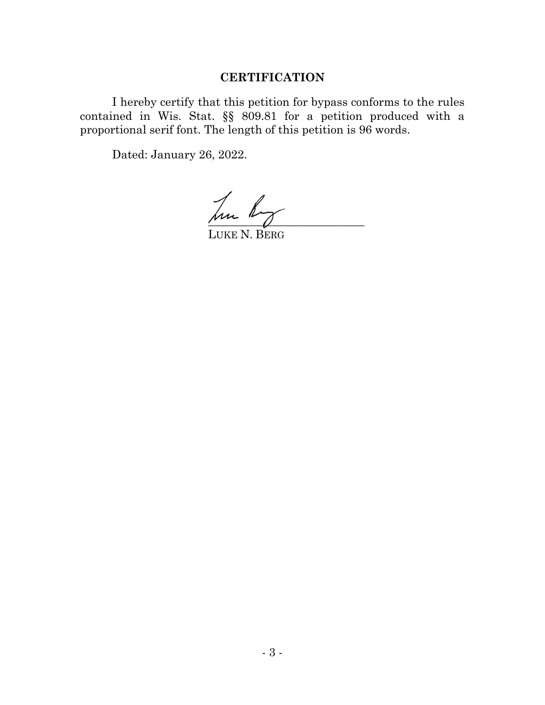# **CERTIFICATION**

I hereby certify that this petition for bypass conforms to the rules contained in Wis. Stat. §§ 809.81 for a petition produced with a proportional serif font. The length of this petition is 96 words.

Dated: January 26, 2022.

Jun hog

LUKE N. BERG